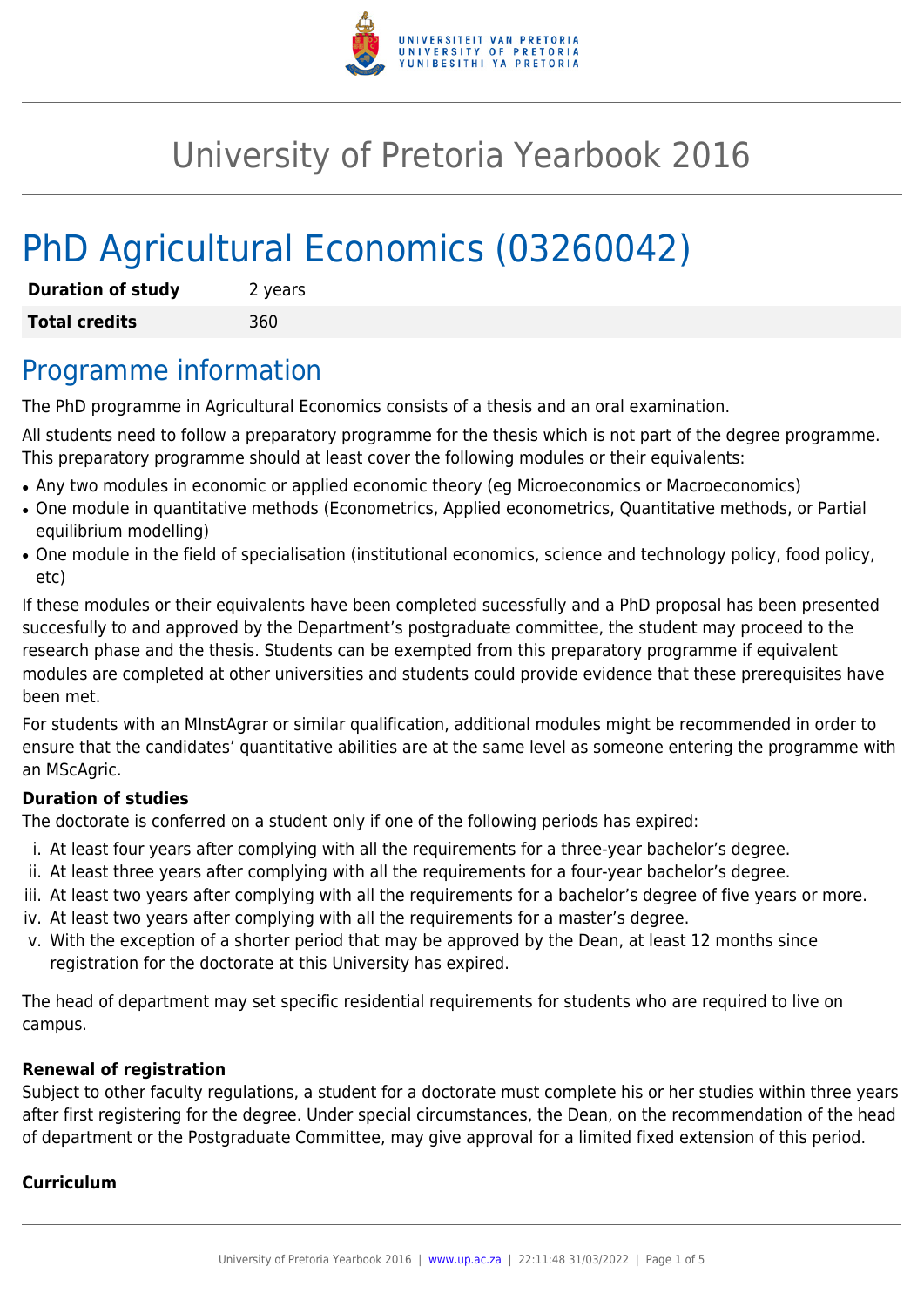

# University of Pretoria Yearbook 2016

# PhD Agricultural Economics (03260042)

| <b>Duration of study</b> | 2 years |
|--------------------------|---------|
| <b>Total credits</b>     | 360     |

## Programme information

The PhD programme in Agricultural Economics consists of a thesis and an oral examination.

All students need to follow a preparatory programme for the thesis which is not part of the degree programme. This preparatory programme should at least cover the following modules or their equivalents:

- Any two modules in economic or applied economic theory (eq Microeconomics or Macroeconomics)
- One module in quantitative methods (Econometrics, Applied econometrics, Quantitative methods, or Partial equilibrium modelling)
- One module in the field of specialisation (institutional economics, science and technology policy, food policy, etc)

If these modules or their equivalents have been completed sucessfully and a PhD proposal has been presented succesfully to and approved by the Department's postgraduate committee, the student may proceed to the research phase and the thesis. Students can be exempted from this preparatory programme if equivalent modules are completed at other universities and students could provide evidence that these prerequisites have been met.

For students with an MInstAgrar or similar qualification, additional modules might be recommended in order to ensure that the candidates' quantitative abilities are at the same level as someone entering the programme with an MScAgric.

#### **Duration of studies**

The doctorate is conferred on a student only if one of the following periods has expired:

- i. At least four years after complying with all the requirements for a three-year bachelor's degree.
- ii. At least three years after complying with all the requirements for a four-year bachelor's degree.
- iii. At least two years after complying with all the requirements for a bachelor's degree of five years or more.
- iv. At least two years after complying with all the requirements for a master's degree.
- v. With the exception of a shorter period that may be approved by the Dean, at least 12 months since registration for the doctorate at this University has expired.

The head of department may set specific residential requirements for students who are required to live on campus.

#### **Renewal of registration**

Subject to other faculty regulations, a student for a doctorate must complete his or her studies within three years after first registering for the degree. Under special circumstances, the Dean, on the recommendation of the head of department or the Postgraduate Committee, may give approval for a limited fixed extension of this period.

#### **Curriculum**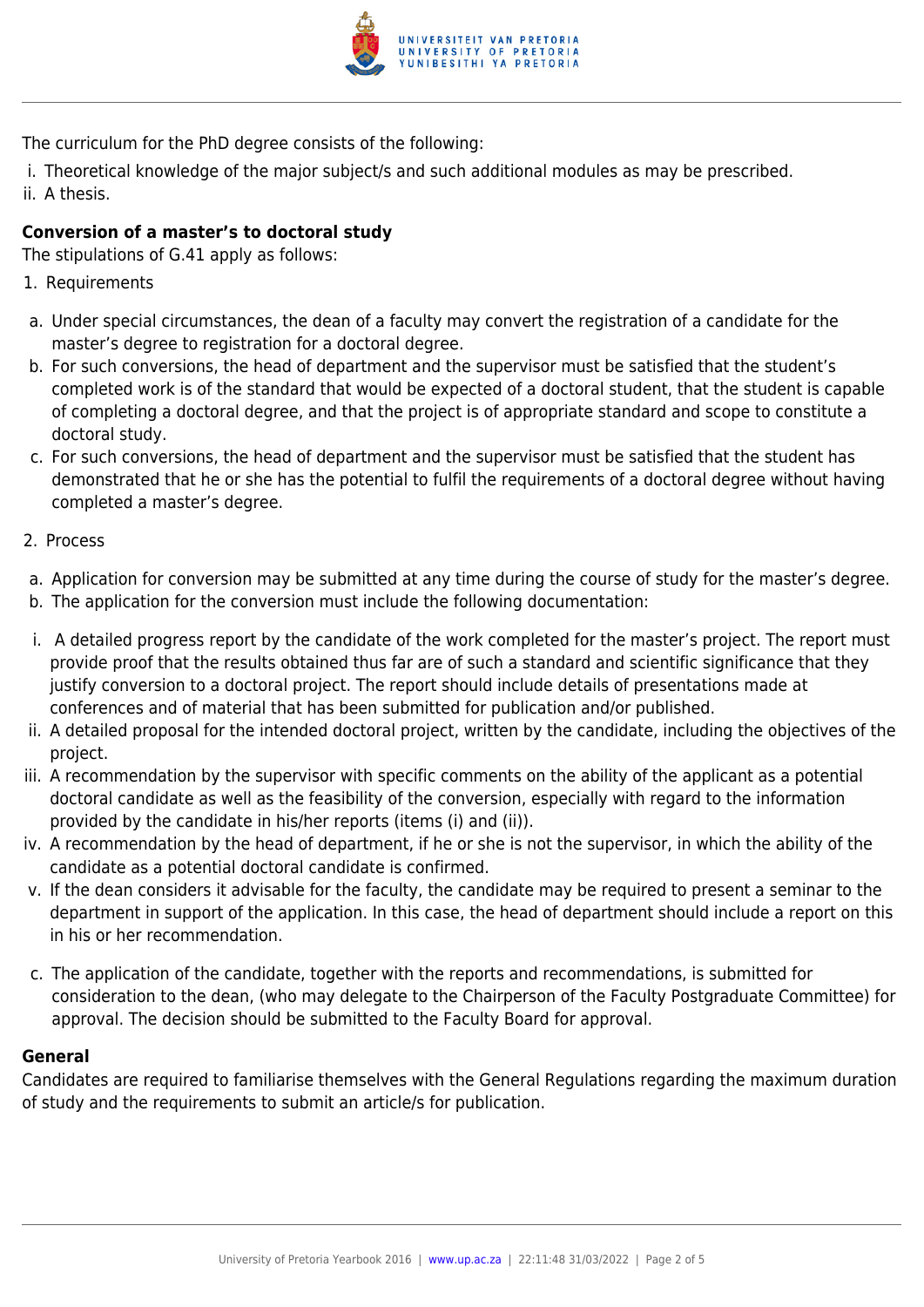

The curriculum for the PhD degree consists of the following:

i. Theoretical knowledge of the major subject/s and such additional modules as may be prescribed.

ii. A thesis.

#### **Conversion of a master's to doctoral study**

The stipulations of G.41 apply as follows:

- 1. Requirements
- a. Under special circumstances, the dean of a faculty may convert the registration of a candidate for the master's degree to registration for a doctoral degree.
- b. For such conversions, the head of department and the supervisor must be satisfied that the student's completed work is of the standard that would be expected of a doctoral student, that the student is capable of completing a doctoral degree, and that the project is of appropriate standard and scope to constitute a doctoral study.
- c. For such conversions, the head of department and the supervisor must be satisfied that the student has demonstrated that he or she has the potential to fulfil the requirements of a doctoral degree without having completed a master's degree.
- 2. Process
- a. Application for conversion may be submitted at any time during the course of study for the master's degree.
- b. The application for the conversion must include the following documentation:
- i. A detailed progress report by the candidate of the work completed for the master's project. The report must provide proof that the results obtained thus far are of such a standard and scientific significance that they justify conversion to a doctoral project. The report should include details of presentations made at conferences and of material that has been submitted for publication and/or published.
- ii. A detailed proposal for the intended doctoral project, written by the candidate, including the objectives of the project.
- iii. A recommendation by the supervisor with specific comments on the ability of the applicant as a potential doctoral candidate as well as the feasibility of the conversion, especially with regard to the information provided by the candidate in his/her reports (items (i) and (ii)).
- iv. A recommendation by the head of department, if he or she is not the supervisor, in which the ability of the candidate as a potential doctoral candidate is confirmed.
- v. If the dean considers it advisable for the faculty, the candidate may be required to present a seminar to the department in support of the application. In this case, the head of department should include a report on this in his or her recommendation.
- c. The application of the candidate, together with the reports and recommendations, is submitted for consideration to the dean, (who may delegate to the Chairperson of the Faculty Postgraduate Committee) for approval. The decision should be submitted to the Faculty Board for approval.

#### **General**

Candidates are required to familiarise themselves with the General Regulations regarding the maximum duration of study and the requirements to submit an article/s for publication.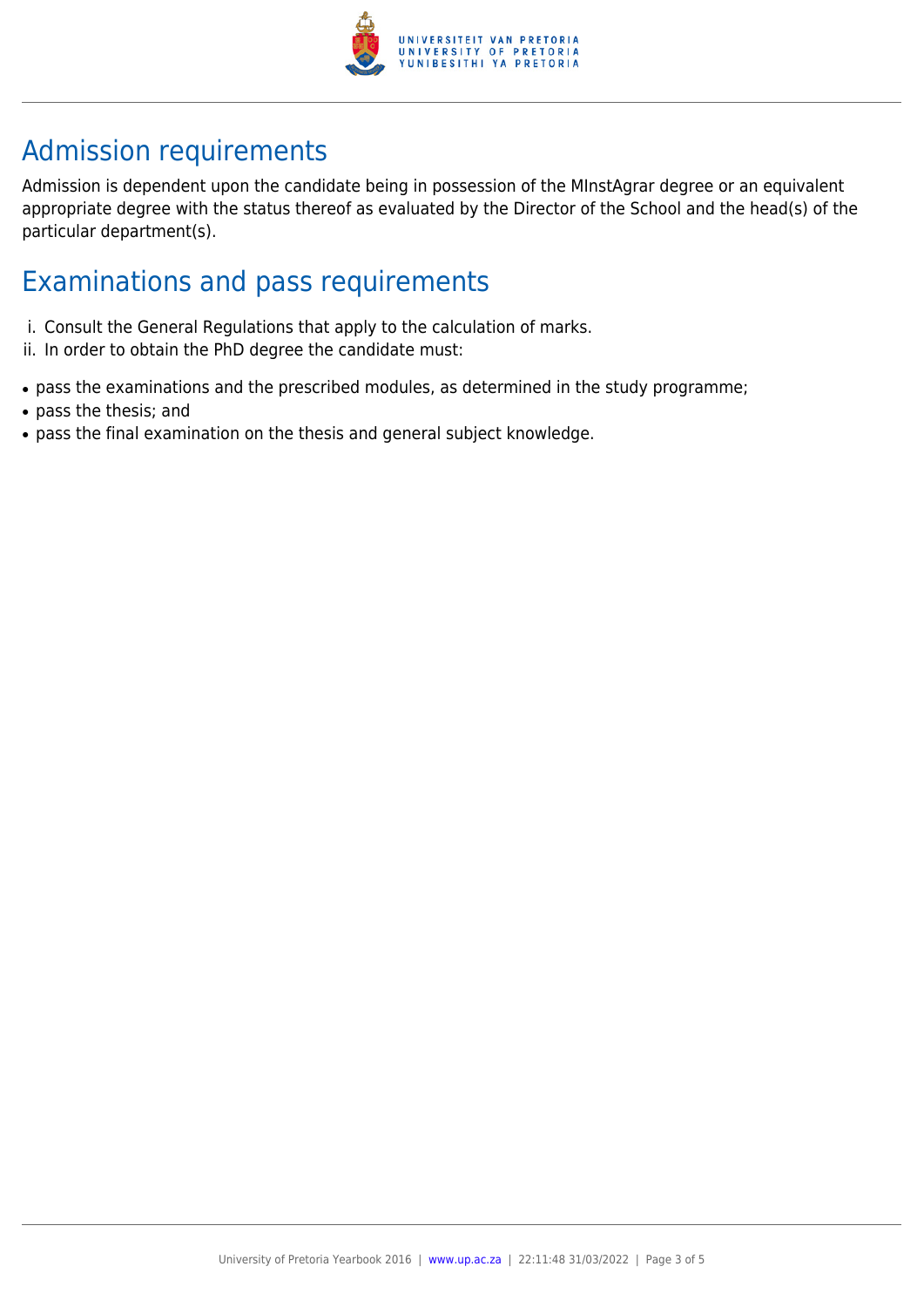

## Admission requirements

Admission is dependent upon the candidate being in possession of the MInstAgrar degree or an equivalent appropriate degree with the status thereof as evaluated by the Director of the School and the head(s) of the particular department(s).

### Examinations and pass requirements

- i. Consult the General Regulations that apply to the calculation of marks.
- ii. In order to obtain the PhD degree the candidate must:
- pass the examinations and the prescribed modules, as determined in the study programme;
- pass the thesis; and
- pass the final examination on the thesis and general subject knowledge.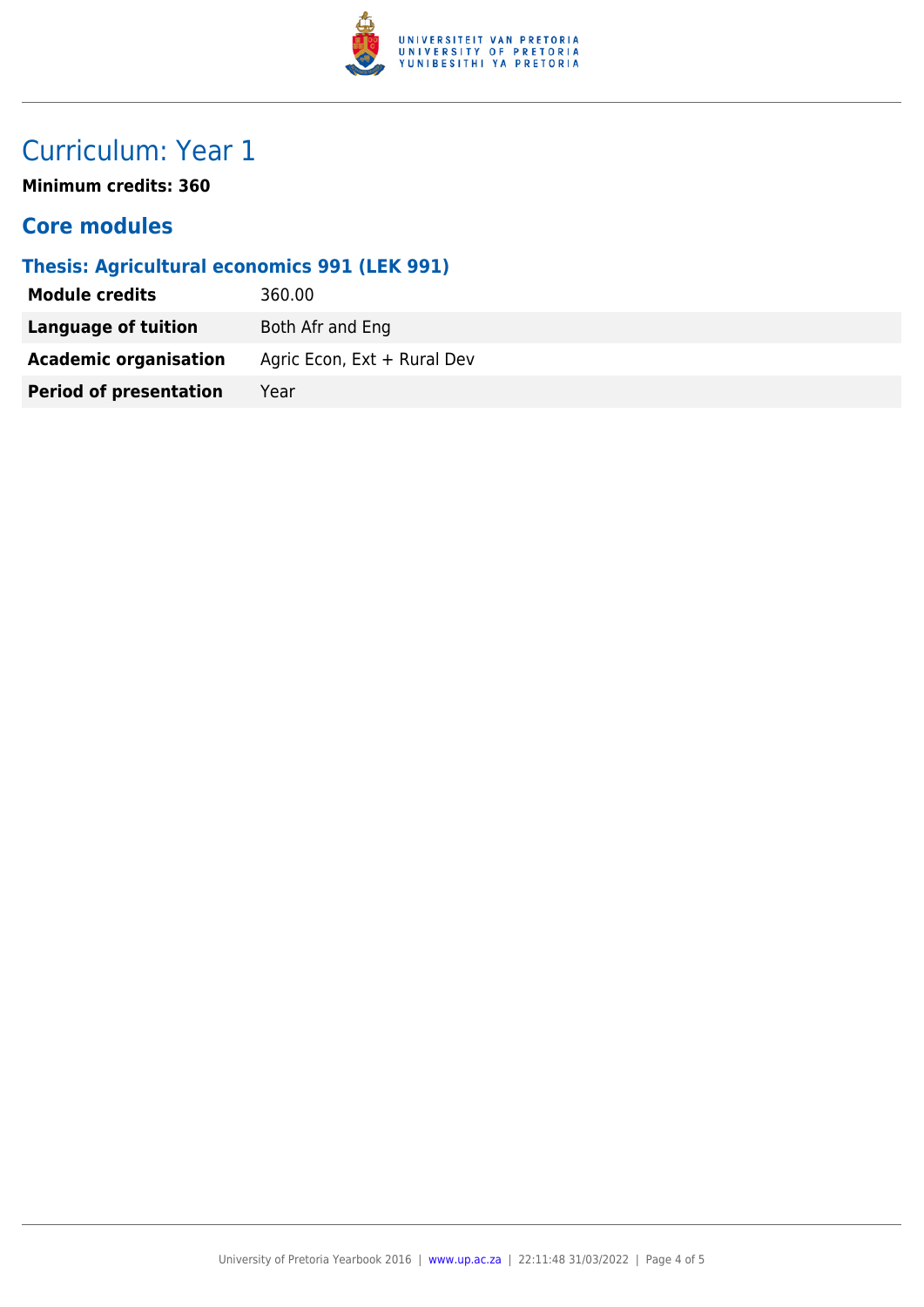

# Curriculum: Year 1

**Minimum credits: 360**

### **Core modules**

### **Thesis: Agricultural economics 991 (LEK 991)**

| <b>Module credits</b>         | 360.00                      |
|-------------------------------|-----------------------------|
| Language of tuition           | Both Afr and Eng            |
| <b>Academic organisation</b>  | Agric Econ, Ext + Rural Dev |
| <b>Period of presentation</b> | Year                        |